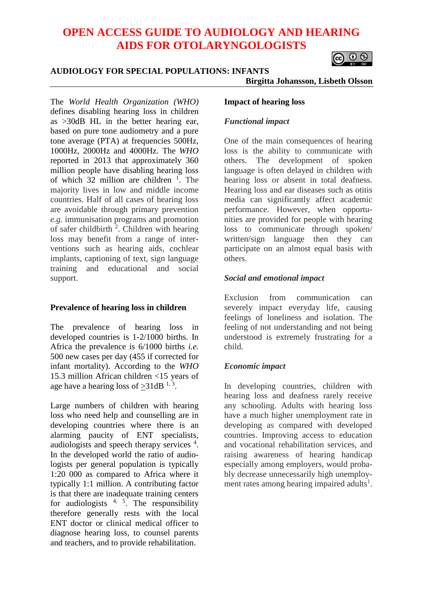# **OPEN ACCESS GUIDE TO AUDIOLOGY AND HEARING AIDS FOR OTOLARYNGOLOGISTS**

# െ ⊚

#### **AUDIOLOGY FOR SPECIAL POPULATIONS: INFANTS**

**Birgitta Johansson, Lisbeth Olsson**

The *World Health Organization (WHO)* defines disabling hearing loss in children as >30dB HL in the better hearing ear, based on pure tone audiometry and a pure tone average (PTA) at frequencies 500Hz, 1000Hz, 2000Hz and 4000Hz. The *WHO* reported in 2013 that approximately 360 million people have disabling hearing loss of which  $32$  million are children <sup>1</sup>. The majority lives in low and middle income countries. Half of all cases of hearing loss are avoidable through primary prevention *e.g.* immunisation programs and promotion of safer childbirth  $2$ . Children with hearing loss may benefit from a range of interventions such as hearing aids, cochlear implants, captioning of text, sign language training and educational and social support.

# **Prevalence of hearing loss in children**

The prevalence of hearing loss in developed countries is 1-2/1000 births. In Africa the prevalence is 6/1000 births *i.e.* 500 new cases per day (455 if corrected for infant mortality). According to the *WHO* 15.3 million African children <15 years of age have a hearing loss of  $\geq 31$ dB<sup>1,3</sup>.

Large numbers of children with hearing loss who need help and counselling are in developing countries where there is an alarming paucity of ENT specialists, audiologists and speech therapy services <sup>4</sup>. In the developed world the ratio of audiologists per general population is typically 1:20 000 as compared to Africa where it typically 1:1 million. A contributing factor is that there are inadequate training centers for audiologists  $4, 5$ . The responsibility therefore generally rests with the local ENT doctor or clinical medical officer to diagnose hearing loss, to counsel parents and teachers, and to provide rehabilitation.

#### **Impact of hearing loss**

# *Functional impact*

One of the main consequences of hearing loss is the ability to communicate with others. The development of spoken language is often delayed in children with hearing loss or absent in total deafness. Hearing loss and ear diseases such as otitis media can significantly affect academic performance. However, when opportunities are provided for people with hearing loss to communicate through spoken/ written/sign language then they can participate on an almost equal basis with others.

# *Social and emotional impact*

Exclusion from communication can severely impact everyday life, causing feelings of loneliness and isolation. The feeling of not understanding and not being understood is extremely frustrating for a child.

# *Economic impact*

In developing countries, children with hearing loss and deafness rarely receive any schooling. Adults with hearing loss have a much higher unemployment rate in developing as compared with developed countries. Improving access to education and vocational rehabilitation services, and raising awareness of hearing handicap especially among employers, would probably decrease unnecessarily high unemployment rates among hearing impaired adults<sup>1</sup>.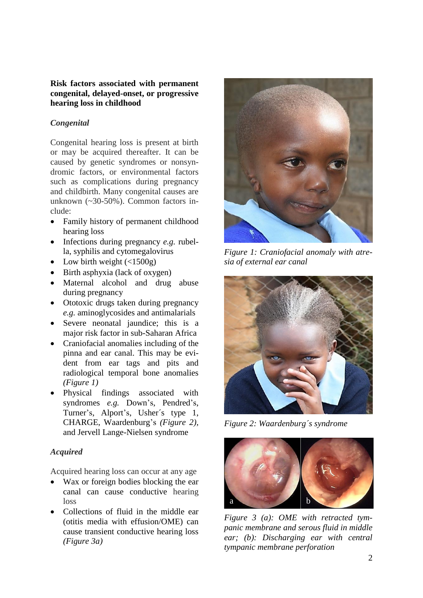#### **Risk factors associated with permanent congenital, delayed-onset, or progressive hearing loss in childhood**

# *Congenital*

Congenital hearing loss is present at birth or may be acquired thereafter. It can be caused by genetic syndromes or nonsyndromic factors, or environmental factors such as complications during pregnancy and childbirth. Many congenital causes are unknown (~30-50%). Common factors include:

- Family history of permanent childhood hearing loss
- Infections during pregnancy *e.g.* rubella, syphilis and cytomegalovirus
- Low birth weight  $\left( \langle 1500g \rangle \right)$
- Birth asphyxia (lack of oxygen)
- Maternal alcohol and drug abuse during pregnancy
- Ototoxic drugs taken during pregnancy *e.g.* aminoglycosides and antimalarials
- Severe neonatal jaundice; this is a major risk factor in sub-Saharan Africa
- Craniofacial anomalies including of the pinna and ear canal. This may be evident from ear tags and pits and radiological temporal bone anomalies *(Figure 1)*
- Physical findings associated with syndromes *e.g.* Down's, Pendred's, Turner's, Alport's, Usher´s type 1, CHARGE, Waardenburg's *(Figure 2),*  and Jervell Lange-Nielsen syndrome

# *Acquired*

Acquired hearing loss can occur at any age

- Wax or foreign bodies blocking the ear canal can cause conductive hearing loss
- Collections of fluid in the middle ear (otitis media with effusion/OME) can cause transient conductive hearing loss *(Figure 3a)*



*Figure 1: Craniofacial anomaly with atresia of external ear canal* 



*Figure 2: Waardenburg´s syndrome*



*Figure 3 (a): OME with retracted tympanic membrane and serous fluid in middle ear; (b): Discharging ear with central tympanic membrane perforation*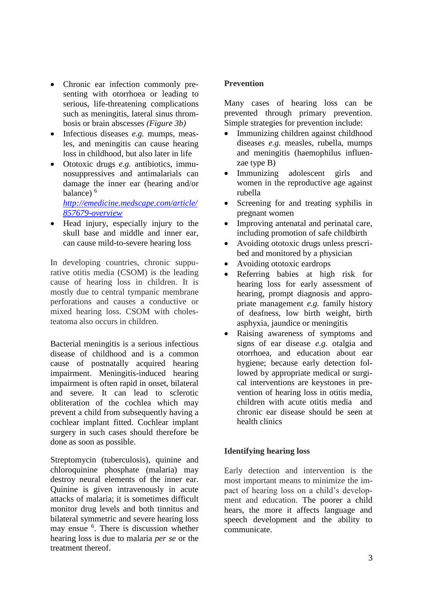- Chronic ear infection commonly presenting with otorrhoea or leading to serious, life-threatening complications such as meningitis, lateral sinus thrombosis or brain abscesses *(Figure 3b)*
- Infectious diseases *e.g.* mumps, measles, and meningitis can cause hearing loss in childhood, but also later in life
- Ototoxic drugs *e.g.* antibiotics, immunosuppressives and antimalarials can damage the inner ear (hearing and/or balance) $<sup>6</sup>$ </sup>

*[http://emedicine.medscape.com/article/](http://emedicine.medscape.com/article/857679-overview) [857679-overview](http://emedicine.medscape.com/article/857679-overview)*

• Head injury, especially injury to the skull base and middle and inner ear, can cause mild-to-severe hearing loss

In developing countries, chronic suppurative otitis media (CSOM) is the leading cause of hearing loss in children. It is mostly due to central tympanic membrane perforations and causes a conductive or mixed hearing loss. CSOM with cholesteatoma also occurs in children.

Bacterial meningitis is a serious infectious disease of childhood and is a common cause of postnatally acquired hearing impairment. Meningitis-induced hearing impairment is often rapid in onset, bilateral and severe. It can lead to sclerotic obliteration of the cochlea which may prevent a child from subsequently having a cochlear implant fitted. Cochlear implant surgery in such cases should therefore be done as soon as possible.

Streptomycin (tuberculosis), quinine and chloroquinine phosphate (malaria) may destroy neural elements of the inner ear. Quinine is given intravenously in acute attacks of malaria; it is sometimes difficult monitor drug levels and both tinnitus and bilateral symmetric and severe hearing loss may ensue <sup>6</sup>. There is discussion whether hearing loss is due to malaria *per se* or the treatment thereof.

# **Prevention**

Many cases of hearing loss can be prevented through primary prevention. Simple strategies for prevention include:

- Immunizing children against childhood diseases *e.g.* measles, rubella, mumps and meningitis (haemophilus influenzae type B)
- Immunizing adolescent girls and women in the reproductive age against rubella
- Screening for and treating syphilis in pregnant women
- Improving antenatal and perinatal care, including promotion of safe childbirth
- Avoiding ototoxic drugs unless prescribed and monitored by a physician
- Avoiding ototoxic eardrops
- Referring babies at high risk for hearing loss for early assessment of hearing, prompt diagnosis and appropriate management *e.g.* family history of deafness, low birth weight, birth asphyxia, jaundice or meningitis
- Raising awareness of symptoms and signs of ear disease *e.g.* otalgia and otorrhoea, and education about ear hygiene; because early detection followed by appropriate medical or surgical interventions are keystones in prevention of hearing loss in otitis media, children with acute otitis media and chronic ear disease should be seen at health clinics

# **Identifying hearing loss**

Early detection and intervention is the most important means to minimize the impact of hearing loss on a child's development and education. The poorer a child hears, the more it affects language and speech development and the ability to communicate.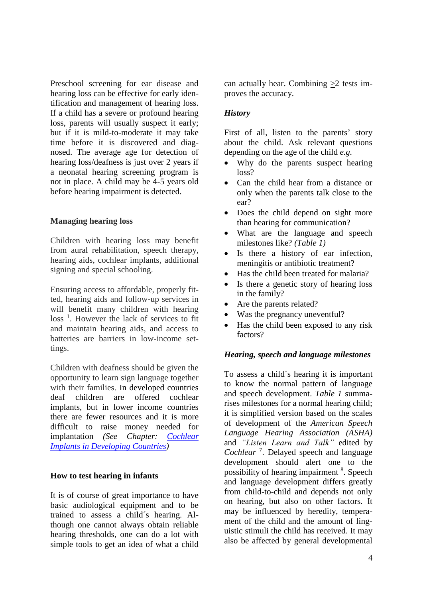Preschool screening for ear disease and hearing loss can be effective for early identification and management of hearing loss. If a child has a severe or profound hearing loss, parents will usually suspect it early; but if it is mild-to-moderate it may take time before it is discovered and diagnosed. The average age for detection of hearing loss/deafness is just over 2 years if a neonatal hearing screening program is not in place. A child may be 4-5 years old before hearing impairment is detected.

#### **Managing hearing loss**

Children with hearing loss may benefit from aural rehabilitation, speech therapy, hearing aids, cochlear implants, additional signing and special schooling.

Ensuring access to affordable, properly fitted, hearing aids and follow-up services in will benefit many children with hearing loss<sup>1</sup>. However the lack of services to fit and maintain hearing aids, and access to batteries are barriers in low-income settings.

Children with deafness should be given the opportunity to learn sign language together with their families. In developed countries deaf children are offered cochlear implants, but in lower income countries there are fewer resources and it is more difficult to raise money needed for implantation *(See Chapter: [Cochlear](https://vula.uct.ac.za/access/content/group/27b5cb1b-1b65-4280-9437-a9898ddd4c40/Cochlear%20Implants%20in%20Developing%20Countries.pdf) Implants in [Developing](https://vula.uct.ac.za/access/content/group/27b5cb1b-1b65-4280-9437-a9898ddd4c40/Cochlear%20Implants%20in%20Developing%20Countries.pdf) Countries)*

#### **How to test hearing in infants**

It is of course of great importance to have basic audiological equipment and to be trained to assess a child´s hearing. Although one cannot always obtain reliable hearing thresholds, one can do a lot with simple tools to get an idea of what a child can actually hear. Combining  $>2$  tests improves the accuracy.

#### *History*

First of all, listen to the parents' story about the child. Ask relevant questions depending on the age of the child *e.g.*

- Why do the parents suspect hearing loss?
- Can the child hear from a distance or only when the parents talk close to the ear?
- Does the child depend on sight more than hearing for communication?
- What are the language and speech milestones like? *(Table 1)*
- Is there a history of ear infection, meningitis or antibiotic treatment?
- Has the child been treated for malaria?
- Is there a genetic story of hearing loss in the family?
- Are the parents related?
- Was the pregnancy uneventful?
- Has the child been exposed to any risk factors?

#### *Hearing, speech and language milestones*

To assess a child´s hearing it is important to know the normal pattern of language and speech development. *Table 1* summarises milestones for a normal hearing child; it is simplified version based on the scales of development of the *American Speech Language Hearing Association (ASHA)*  and *"Listen Learn and Talk"* edited by *Cochlear* <sup>7</sup> . Delayed speech and language development should alert one to the possibility of hearing impairment <sup>8</sup>. Speech and language development differs greatly from child-to-child and depends not only on hearing, but also on other factors. It may be influenced by heredity, temperament of the child and the amount of linguistic stimuli the child has received. It may also be affected by general developmental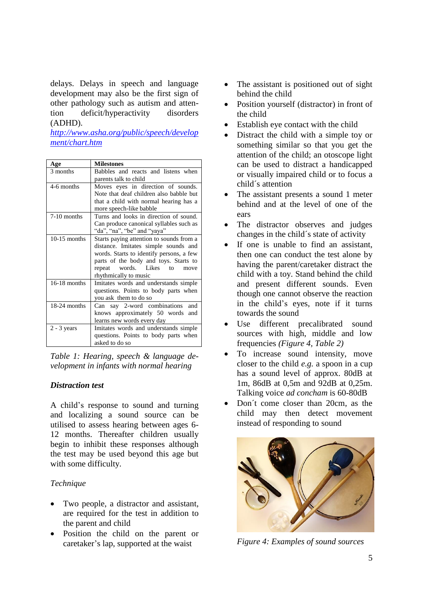delays. Delays in speech and language development may also be the first sign of other pathology such as autism and attention deficit/hyperactivity disorders (ADHD).

*[http://www.asha.org/public/speech/develop](http://www.asha.org/public/speech/development/chart.htm) [ment/chart.htm](http://www.asha.org/public/speech/development/chart.htm)*

| Age            | <b>Milestones</b>                                                                                                                                                                                                                      |
|----------------|----------------------------------------------------------------------------------------------------------------------------------------------------------------------------------------------------------------------------------------|
| 3 months       | Babbles and reacts and listens when<br>parents talk to child                                                                                                                                                                           |
| 4-6 months     | Moves eyes in direction of sounds.<br>Note that deaf children also babble but<br>that a child with normal hearing has a<br>more speech-like babble                                                                                     |
| 7-10 months    | Turns and looks in direction of sound.<br>Can produce canonical syllables such as<br>"da", "na", "be" and "yaya"                                                                                                                       |
| $10-15$ months | Starts paying attention to sounds from a<br>distance. Imitates simple sounds and<br>words. Starts to identify persons, a few<br>parts of the body and toys. Starts to<br>words. Likes<br>to<br>repeat<br>move<br>rhythmically to music |
| $16-18$ months | Imitates words and understands simple<br>questions. Points to body parts when<br>you ask them to do so                                                                                                                                 |
| 18-24 months   | Can say 2-word combinations<br>and<br>knows approximately 50 words and<br>learns new words every day                                                                                                                                   |
| $2 - 3$ years  | Imitates words and understands simple<br>questions. Points to body parts when<br>asked to do so                                                                                                                                        |

*Table 1: Hearing, speech & language development in infants with normal hearing*

#### *Distraction test*

A child's response to sound and turning and localizing a sound source can be utilised to assess hearing between ages 6- 12 months. Thereafter children usually begin to inhibit these responses although the test may be used beyond this age but with some difficulty.

# *Technique*

- Two people, a distractor and assistant, are required for the test in addition to the parent and child
- Position the child on the parent or caretaker's lap, supported at the waist
- The assistant is positioned out of sight behind the child
- Position yourself (distractor) in front of the child
- Establish eye contact with the child
- Distract the child with a simple toy or something similar so that you get the attention of the child; an otoscope light can be used to distract a handicapped or visually impaired child or to focus a child´s attention
- The assistant presents a sound 1 meter behind and at the level of one of the ears
- The distractor observes and judges changes in the child´s state of activity
- If one is unable to find an assistant, then one can conduct the test alone by having the parent/caretaker distract the child with a toy. Stand behind the child and present different sounds. Even though one cannot observe the reaction in the child's eyes, note if it turns towards the sound
- Use different precalibrated sound sources with high, middle and low frequencies *(Figure 4, Table 2)*
- To increase sound intensity, move closer to the child *e.g.* a spoon in a cup has a sound level of approx. 80dB at 1m, 86dB at 0,5m and 92dB at 0,25m. Talking voice *ad concham* is 60-80dB
- Don´t come closer than 20cm, as the child may then detect movement instead of responding to sound



*Figure 4: Examples of sound sources*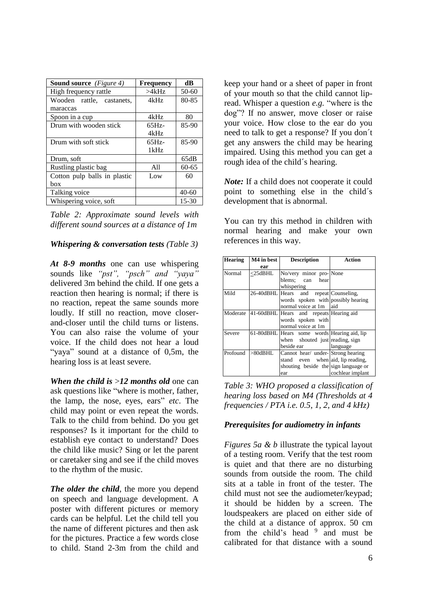| <b>Sound source</b> (Figure 4) | <b>Frequency</b> | dB        |
|--------------------------------|------------------|-----------|
| High frequency rattle          | >4kHz            | 50-60     |
| Wooden rattle, castanets,      | 4kHz             | 80-85     |
| maraccas                       |                  |           |
| Spoon in a cup                 | 4kHz             | 80        |
| Drum with wooden stick         | $65Hz -$         | $85-90$   |
|                                | 4kHz             |           |
| Drum with soft stick           | $65Hz -$         | 85-90     |
|                                | 1kHz             |           |
| Drum, soft                     |                  | 65dB      |
| Rustling plastic bag           | A11              | $60 - 65$ |
| Cotton pulp balls in plastic   | Low              | 60        |
| hox                            |                  |           |
| Talking voice                  |                  | $40 - 60$ |
| Whispering voice, soft         |                  | $15 - 30$ |

*Table 2: Approximate sound levels with different sound sources at a distance of 1m*

#### *Whispering & conversation tests (Table 3)*

*At 8-9 months* one can use whispering sounds like *"pst", "psch" and "yaya"* delivered 3m behind the child. If one gets a reaction then hearing is normal; if there is no reaction, repeat the same sounds more loudly. If still no reaction, move closerand-closer until the child turns or listens. You can also raise the volume of your voice. If the child does not hear a loud "yaya" sound at a distance of 0,5m, the hearing loss is at least severe.

*When the child is* >*12 months old* one can ask questions like "where is mother, father, the lamp, the nose, eyes, ears" *etc*. The child may point or even repeat the words. Talk to the child from behind. Do you get responses? Is it important for the child to establish eye contact to understand? Does the child like music? Sing or let the parent or caretaker sing and see if the child moves to the rhythm of the music.

*The older the child*, the more you depend on speech and language development. A poster with different pictures or memory cards can be helpful. Let the child tell you the name of different pictures and then ask for the pictures. Practice a few words close to child. Stand 2-3m from the child and

keep your hand or a sheet of paper in front of your mouth so that the child cannot lipread. Whisper a question *e.g.* "where is the dog"? If no answer, move closer or raise your voice. How close to the ear do you need to talk to get a response? If you don´t get any answers the child may be hearing impaired. Using this method you can get a rough idea of the child´s hearing.

*Note:* If a child does not cooperate it could point to something else in the child´s development that is abnormal.

You can try this method in children with normal hearing and make your own references in this way.

| <b>Hearing</b> | M4 in best | <b>Description</b>                          | Action             |
|----------------|------------|---------------------------------------------|--------------------|
|                | ear        |                                             |                    |
| Normal         | <25dBHL    | No/very minor pro-None                      |                    |
|                |            | blems; can<br>hear                          |                    |
|                |            | whispering                                  |                    |
| Mild           |            | 26-40dBHL Hears and                         | repeat Counseling, |
|                |            | words spoken with possibly hearing          |                    |
|                |            | normal voice at 1m aid                      |                    |
| Moderate       |            | 41-60dBHL Hears and repeats Hearing aid     |                    |
|                |            | words spoken with                           |                    |
|                |            | normal voice at 1m                          |                    |
| Severe         |            | 61-80dBHL Hears some words Hearing aid, lip |                    |
|                |            | when shouted just reading, sign             |                    |
|                |            | beside ear                                  | language           |
| Profound       | $>80$ dBHL | Cannot hear/ under-Strong hearing           |                    |
|                |            | stand even when aid, lip reading,           |                    |
|                |            | shouting beside the sign language or        |                    |
|                |            | ear                                         | cochlear implant   |

*Table 3: WHO proposed a classification of hearing loss based on M4 (Thresholds at 4 frequencies / PTA i.e. 0.5, 1, 2, and 4 kHz)*

# *Prerequisites for audiometry in infants*

*Figures 5a & b* illustrate the typical layout of a testing room. Verify that the test room is quiet and that there are no disturbing sounds from outside the room. The child sits at a table in front of the tester. The child must not see the audiometer/keypad; it should be hidden by a screen. The loudspeakers are placed on either side of the child at a distance of approx. 50 cm from the child's head <sup>9</sup> and must be calibrated for that distance with a sound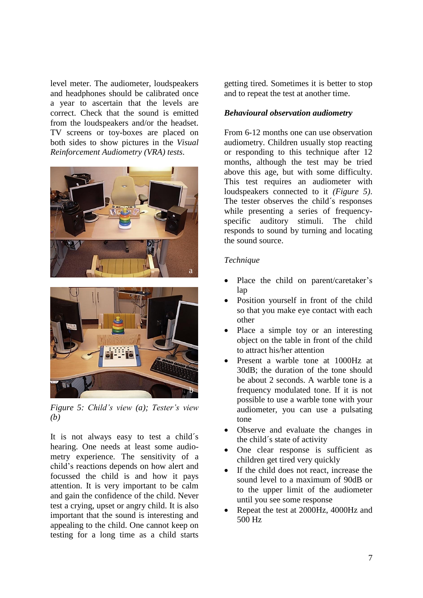level meter. The audiometer, loudspeakers and headphones should be calibrated once a year to ascertain that the levels are correct. Check that the sound is emitted from the loudspeakers and/or the headset. TV screens or toy-boxes are placed on both sides to show pictures in the *Visual Reinforcement Audiometry (VRA) tests*.





*Figure 5: Child's view (a); Tester's view (b)*

It is not always easy to test a child´s hearing. One needs at least some audiometry experience. The sensitivity of a child's reactions depends on how alert and focussed the child is and how it pays attention. It is very important to be calm and gain the confidence of the child. Never test a crying, upset or angry child. It is also important that the sound is interesting and appealing to the child. One cannot keep on testing for a long time as a child starts

getting tired. Sometimes it is better to stop and to repeat the test at another time.

# *Behavioural observation audiometry*

From 6-12 months one can use observation audiometry. Children usually stop reacting or responding to this technique after 12 months, although the test may be tried above this age, but with some difficulty. This test requires an audiometer with loudspeakers connected to it *(Figure 5)*. The tester observes the child´s responses while presenting a series of frequencyspecific auditory stimuli. The child responds to sound by turning and locating the sound source.

# *Technique*

- Place the child on parent/caretaker's lap
- Position yourself in front of the child so that you make eye contact with each other
- Place a simple toy or an interesting object on the table in front of the child to attract his/her attention
- Present a warble tone at 1000Hz at 30dB; the duration of the tone should be about 2 seconds. A warble tone is a frequency modulated tone. If it is not possible to use a warble tone with your audiometer, you can use a pulsating tone
- Observe and evaluate the changes in the child´s state of activity
- One clear response is sufficient as children get tired very quickly
- If the child does not react, increase the sound level to a maximum of 90dB or to the upper limit of the audiometer until you see some response
- Repeat the test at 2000Hz, 4000Hz and 500 Hz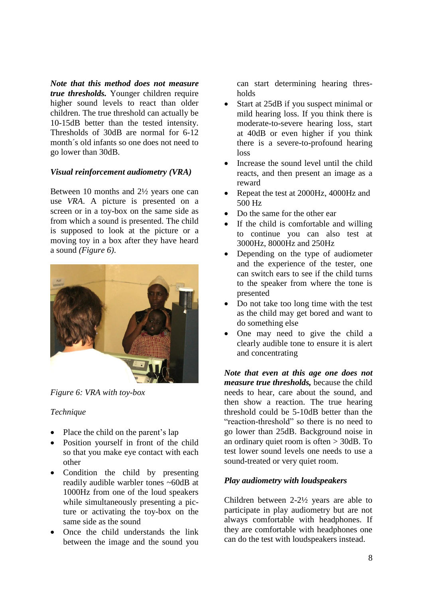*Note that this method does not measure true thresholds.* Younger children require higher sound levels to react than older children. The true threshold can actually be 10-15dB better than the tested intensity. Thresholds of 30dB are normal for 6-12 month´s old infants so one does not need to go lower than 30dB.

# *Visual reinforcement audiometry (VRA)*

Between 10 months and 2½ years one can use *VRA*. A picture is presented on a screen or in a toy-box on the same side as from which a sound is presented. The child is supposed to look at the picture or a moving toy in a box after they have heard a sound *(Figure 6)*.



*Figure 6: VRA with toy-box*

#### *Technique*

- Place the child on the parent's lap
- Position yourself in front of the child so that you make eye contact with each other
- Condition the child by presenting readily audible warbler tones ~60dB at 1000Hz from one of the loud speakers while simultaneously presenting a picture or activating the toy-box on the same side as the sound
- Once the child understands the link between the image and the sound you

can start determining hearing thresholds

- Start at 25dB if you suspect minimal or mild hearing loss. If you think there is moderate-to-severe hearing loss, start at 40dB or even higher if you think there is a severe-to-profound hearing loss
- Increase the sound level until the child reacts, and then present an image as a reward
- Repeat the test at 2000Hz, 4000Hz and 500 Hz
- Do the same for the other ear
- If the child is comfortable and willing to continue you can also test at 3000Hz, 8000Hz and 250Hz
- Depending on the type of audiometer and the experience of the tester, one can switch ears to see if the child turns to the speaker from where the tone is presented
- Do not take too long time with the test as the child may get bored and want to do something else
- One may need to give the child a clearly audible tone to ensure it is alert and concentrating

*Note that even at this age one does not measure true thresholds,* because the child needs to hear, care about the sound, and then show a reaction. The true hearing threshold could be 5-10dB better than the "reaction-threshold" so there is no need to go lower than 25dB. Background noise in an ordinary quiet room is often > 30dB. To test lower sound levels one needs to use a sound-treated or very quiet room.

#### *Play audiometry with loudspeakers*

Children between 2-2½ years are able to participate in play audiometry but are not always comfortable with headphones. If they are comfortable with headphones one can do the test with loudspeakers instead.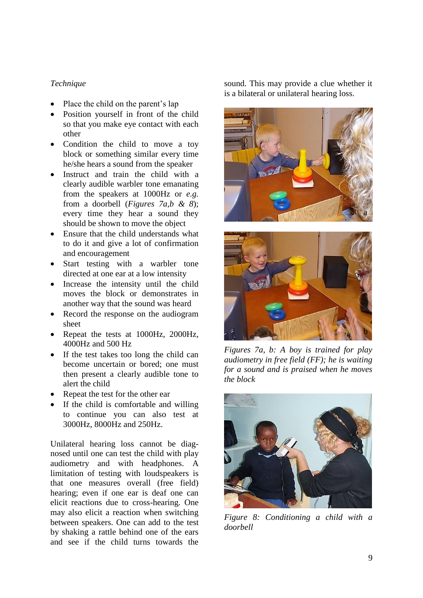# *Technique*

- Place the child on the parent's lap
- Position yourself in front of the child so that you make eye contact with each other
- Condition the child to move a toy block or something similar every time he/she hears a sound from the speaker
- Instruct and train the child with a clearly audible warbler tone emanating from the speakers at 1000Hz or *e.g.* from a doorbell (*Figures 7a,b & 8*); every time they hear a sound they should be shown to move the object
- Ensure that the child understands what to do it and give a lot of confirmation and encouragement
- Start testing with a warbler tone directed at one ear at a low intensity
- Increase the intensity until the child moves the block or demonstrates in another way that the sound was heard
- Record the response on the audiogram sheet
- Repeat the tests at 1000Hz, 2000Hz, 4000Hz and 500 Hz
- If the test takes too long the child can become uncertain or bored; one must then present a clearly audible tone to alert the child
- Repeat the test for the other ear
- If the child is comfortable and willing to continue you can also test at 3000Hz, 8000Hz and 250Hz.

Unilateral hearing loss cannot be diagnosed until one can test the child with play audiometry and with headphones. A limitation of testing with loudspeakers is that one measures overall (free field) hearing; even if one ear is deaf one can elicit reactions due to cross-hearing. One may also elicit a reaction when switching between speakers. One can add to the test by shaking a rattle behind one of the ears and see if the child turns towards the

sound. This may provide a clue whether it is a bilateral or unilateral hearing loss.





*Figures 7a, b: A boy is trained for play audiometry in free field (FF); he is waiting for a sound and is praised when he moves the block*



*Figure 8: Conditioning a child with a doorbell*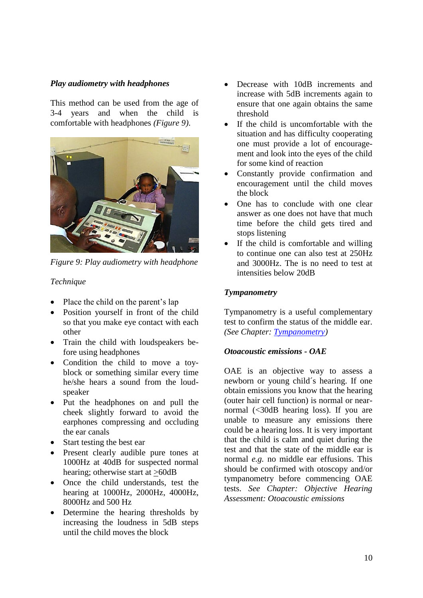# *Play audiometry with headphones*

This method can be used from the age of 3-4 years and when the child is comfortable with headphones *(Figure 9)*.



*Figure 9: Play audiometry with headphone*

#### *Technique*

- Place the child on the parent's lap
- Position yourself in front of the child so that you make eye contact with each other
- Train the child with loudspeakers before using headphones
- Condition the child to move a toyblock or something similar every time he/she hears a sound from the loudspeaker
- Put the headphones on and pull the cheek slightly forward to avoid the earphones compressing and occluding the ear canals
- Start testing the best ear
- Present clearly audible pure tones at 1000Hz at 40dB for suspected normal hearing; otherwise start at >60dB
- Once the child understands, test the hearing at 1000Hz, 2000Hz, 4000Hz, 8000Hz and 500 Hz
- Determine the hearing thresholds by increasing the loudness in 5dB steps until the child moves the block
- Decrease with 10dB increments and increase with 5dB increments again to ensure that one again obtains the same threshold
- If the child is uncomfortable with the situation and has difficulty cooperating one must provide a lot of encouragement and look into the eyes of the child for some kind of reaction
- Constantly provide confirmation and encouragement until the child moves the block
- One has to conclude with one clear answer as one does not have that much time before the child gets tired and stops listening
- If the child is comfortable and willing to continue one can also test at 250Hz and 3000Hz. The is no need to test at intensities below 20dB

#### *Tympanometry*

Tympanometry is a useful complementary test to confirm the status of the middle ear. *(See Chapter: [Tympanometry\)](https://vula.uct.ac.za/access/content/group/27b5cb1b-1b65-4280-9437-a9898ddd4c40/Tympanometry.pdf)*

#### *Otoacoustic emissions - OAE*

OAE is an objective way to assess a newborn or young child´s hearing. If one obtain emissions you know that the hearing (outer hair cell function) is normal or nearnormal (<30dB hearing loss). If you are unable to measure any emissions there could be a hearing loss. It is very important that the child is calm and quiet during the test and that the state of the middle ear is normal *e.g.* no middle ear effusions. This should be confirmed with otoscopy and/or tympanometry before commencing OAE tests. *See Chapter: Objective Hearing Assessment: Otoacoustic emissions*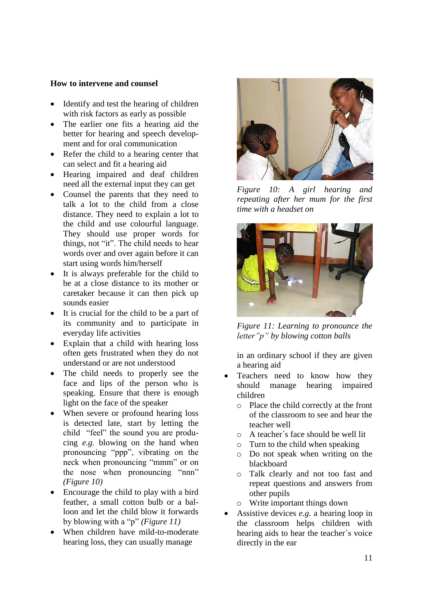# **How to intervene and counsel**

- Identify and test the hearing of children with risk factors as early as possible
- The earlier one fits a hearing aid the better for hearing and speech development and for oral communication
- Refer the child to a hearing center that can select and fit a hearing aid
- Hearing impaired and deaf children need all the external input they can get
- Counsel the parents that they need to talk a lot to the child from a close distance. They need to explain a lot to the child and use colourful language. They should use proper words for things, not "it". The child needs to hear words over and over again before it can start using words him/herself
- It is always preferable for the child to be at a close distance to its mother or caretaker because it can then pick up sounds easier
- It is crucial for the child to be a part of its community and to participate in everyday life activities
- Explain that a child with hearing loss often gets frustrated when they do not understand or are not understood
- The child needs to properly see the face and lips of the person who is speaking. Ensure that there is enough light on the face of the speaker
- When severe or profound hearing loss is detected late, start by letting the child "feel" the sound you are producing *e.g.* blowing on the hand when pronouncing "ppp", vibrating on the neck when pronouncing "mmm" or on the nose when pronouncing "nnn" *(Figure 10)*
- Encourage the child to play with a bird feather, a small cotton bulb or a balloon and let the child blow it forwards by blowing with a "p" *(Figure 11)*
- When children have mild-to-moderate hearing loss, they can usually manage



*Figure 10: A girl hearing and repeating after her mum for the first time with a headset on*



*Figure 11: Learning to pronounce the letter"p" by blowing cotton balls*

in an ordinary school if they are given a hearing aid

- Teachers need to know how they should manage hearing impaired children
	- o Place the child correctly at the front of the classroom to see and hear the teacher well
	- o A teacher´s face should be well lit
	- o Turn to the child when speaking
	- o Do not speak when writing on the blackboard
	- o Talk clearly and not too fast and repeat questions and answers from other pupils
	- o Write important things down
- Assistive devices *e.g.* a hearing loop in the classroom helps children with hearing aids to hear the teacher´s voice directly in the ear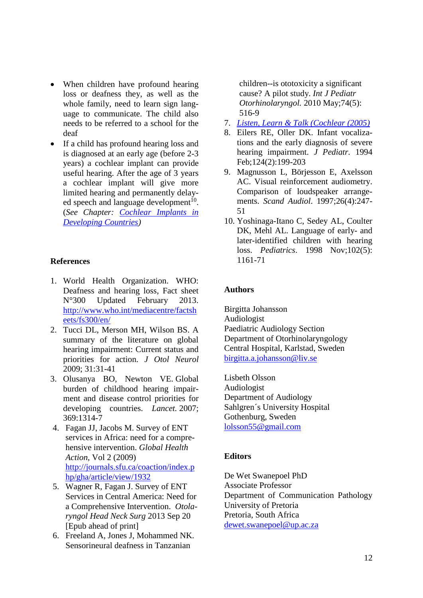- When children have profound hearing loss or deafness they, as well as the whole family, need to learn sign language to communicate. The child also needs to be referred to a school for the deaf
- If a child has profound hearing loss and is diagnosed at an early age (before 2-3 years) a cochlear implant can provide useful hearing. After the age of 3 years a cochlear implant will give more limited hearing and permanently delayed speech and language development<sup>10</sup>. (*See Chapter: [Cochlear Implants in](https://vula.uct.ac.za/access/content/group/27b5cb1b-1b65-4280-9437-a9898ddd4c40/Cochlear%20Implants%20in%20Developing%20Countries.pdf)  [Developing Countries\)](https://vula.uct.ac.za/access/content/group/27b5cb1b-1b65-4280-9437-a9898ddd4c40/Cochlear%20Implants%20in%20Developing%20Countries.pdf)*

# **References**

- 1. World Health Organization. WHO: Deafness and hearing loss, Fact sheet N°300 Updated February 2013. [http://www.who.int/mediacentre/factsh](http://www.who.int/mediacentre/factsheets/fs300/en/) [eets/fs300/en/](http://www.who.int/mediacentre/factsheets/fs300/en/)
- 2. Tucci DL, Merson MH, Wilson BS. A summary of the literature on global hearing impairment: Current status and priorities for action. *J Otol Neurol*  2009; 31:31-41
- 3. Olusanya BO, Newton VE. Global burden of childhood hearing impairment and disease control priorities for developing countries. *Lancet.* 2007; 369:1314-7
- 4. Fagan JJ, Jacobs M. Survey of ENT services in Africa: need for a comprehensive intervention. *Global Health Action*, Vol 2 (2009) [http://journals.sfu.ca/coaction/index.p](http://journals.sfu.ca/coaction/index.php/gha/article/view/1932) [hp/gha/article/view/1932](http://journals.sfu.ca/coaction/index.php/gha/article/view/1932)
- 5. Wagner R, Fagan J. Survey of ENT Services in Central America: Need for a Comprehensive Intervention. *Otolaryngol Head Neck Surg* 2013 Sep 20 [Epub ahead of print]
- 6. Freeland A, Jones J, Mohammed NK. Sensorineural deafness in Tanzanian

children--is ototoxicity a significant cause? A pilot study. *Int J Pediatr Otorhinolaryngol.* 2010 May;74(5): 516-9

- 7. *[Listen, Learn & Talk \(Cochlear \(2005\)](http://www.cochlear.com/wps/wcm/connect/uk/home/support/rehabilitation-resources/early-intervention/listen-learn-and-talk/babies-babble-chapter-1/babies-babble-chapter-1)*
- 8. Eilers RE, Oller DK. Infant vocalizations and the early diagnosis of severe hearing impairment. *J Pediatr.* 1994 Feb;124(2):199-203
- 9. Magnusson L, Börjesson E, Axelsson AC. Visual reinforcement audiometry. Comparison of loudspeaker arrangements. *Scand Audiol*. 1997;26(4):247- 51
- 10. Yoshinaga-Itano C, Sedey AL, Coulter DK, Mehl AL. Language of early- and later-identified children with hearing loss. *Pediatrics*. 1998 Nov;102(5): 1161-71

# **Authors**

Birgitta Johansson Audiologist Paediatric Audiology Section Department of Otorhinolaryngology Central Hospital, Karlstad, Sweden [birgitta.a.johansson@liv.se](mailto:birgitta.a.johansson@liv.se)

Lisbeth Olsson Audiologist Department of Audiology Sahlgren´s University Hospital Gothenburg, Sweden [lolsson55@gmail.com](mailto:lolsson55@gmail.com)

# **Editors**

De Wet Swanepoel PhD Associate Professor Department of Communication Pathology University of Pretoria Pretoria, South Africa [dewet.swanepoel@up.ac.za](mailto:dewet.swanepoel@up.ac.za)